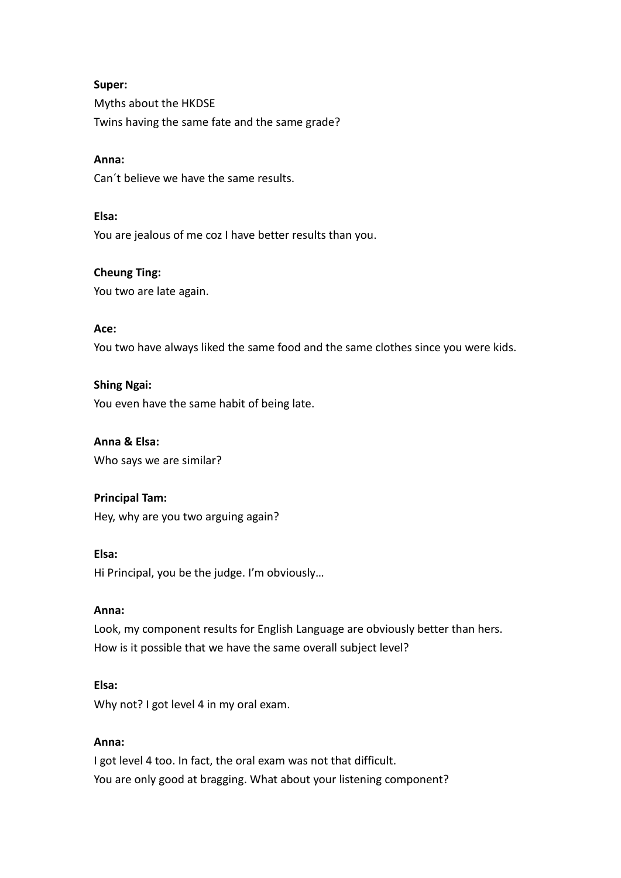# **Super:**

Myths about the HKDSE Twins having the same fate and the same grade?

## **Anna:**

Can´t believe we have the same results.

## **Elsa:**

You are jealous of me coz I have better results than you.

# **Cheung Ting:**

You two are late again.

# **Ace:**

You two have always liked the same food and the same clothes since you were kids.

# **Shing Ngai:**

You even have the same habit of being late.

# **Anna & Elsa:**

Who says we are similar?

# **Principal Tam:**

Hey, why are you two arguing again?

## **Elsa:**

Hi Principal, you be the judge. I'm obviously…

## **Anna:**

Look, my component results for English Language are obviously better than hers. How is it possible that we have the same overall subject level?

## **Elsa:**

Why not? I got level 4 in my oral exam.

# **Anna:**

I got level 4 too. In fact, the oral exam was not that difficult. You are only good at bragging. What about your listening component?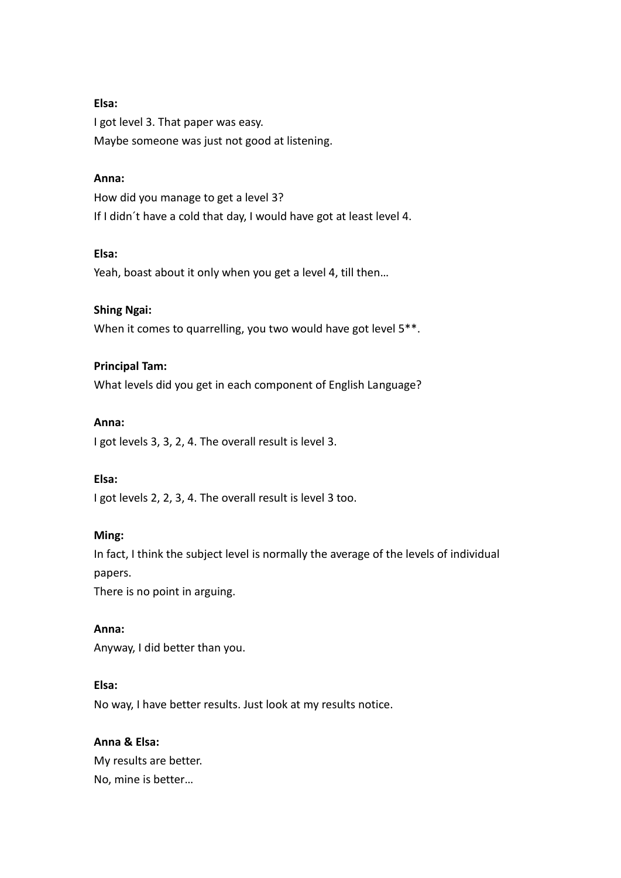# **Elsa:**

I got level 3. That paper was easy. Maybe someone was just not good at listening.

## **Anna:**

How did you manage to get a level 3? If I didn´t have a cold that day, I would have got at least level 4.

## **Elsa:**

Yeah, boast about it only when you get a level 4, till then…

### **Shing Ngai:**

When it comes to quarrelling, you two would have got level 5<sup>\*\*</sup>.

#### **Principal Tam:**

What levels did you get in each component of English Language?

#### **Anna:**

I got levels 3, 3, 2, 4. The overall result is level 3.

### **Elsa:**

I got levels 2, 2, 3, 4. The overall result is level 3 too.

#### **Ming:**

In fact, I think the subject level is normally the average of the levels of individual papers.

There is no point in arguing.

### **Anna:**

Anyway, I did better than you.

### **Elsa:**

No way, I have better results. Just look at my results notice.

# **Anna & Elsa:**

My results are better. No, mine is better…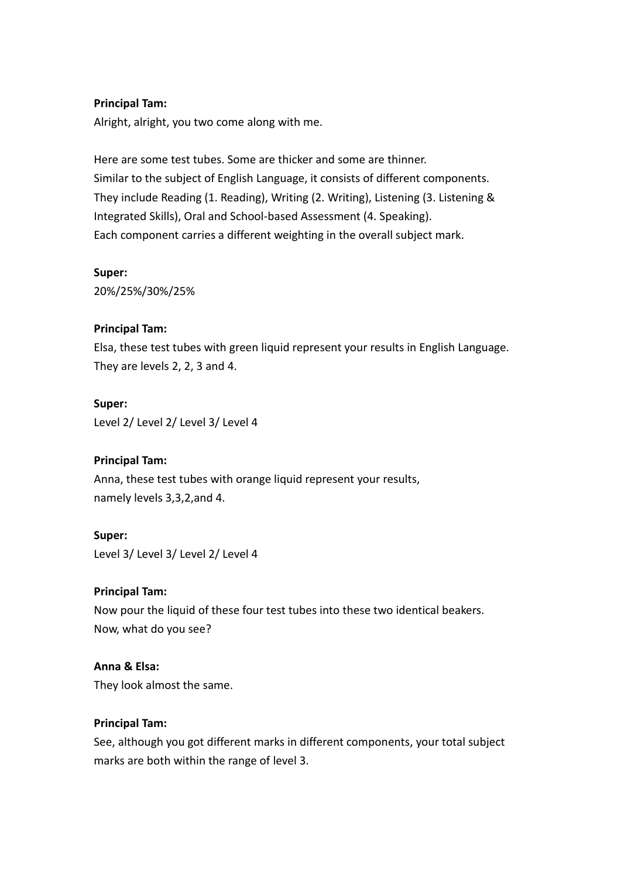## **Principal Tam:**

Alright, alright, you two come along with me.

Here are some test tubes. Some are thicker and some are thinner. Similar to the subject of English Language, it consists of different components. They include Reading (1. Reading), Writing (2. Writing), Listening (3. Listening & Integrated Skills), Oral and School-based Assessment (4. Speaking). Each component carries a different weighting in the overall subject mark.

### **Super:**

20%/25%/30%/25%

# **Principal Tam:**

Elsa, these test tubes with green liquid represent your results in English Language. They are levels 2, 2, 3 and 4.

# **Super:**

Level 2/ Level 2/ Level 3/ Level 4

# **Principal Tam:**

Anna, these test tubes with orange liquid represent your results, namely levels 3,3,2,and 4.

### **Super:**

Level 3/ Level 3/ Level 2/ Level 4

# **Principal Tam:**

Now pour the liquid of these four test tubes into these two identical beakers. Now, what do you see?

# **Anna & Elsa:**

They look almost the same.

# **Principal Tam:**

See, although you got different marks in different components, your total subject marks are both within the range of level 3.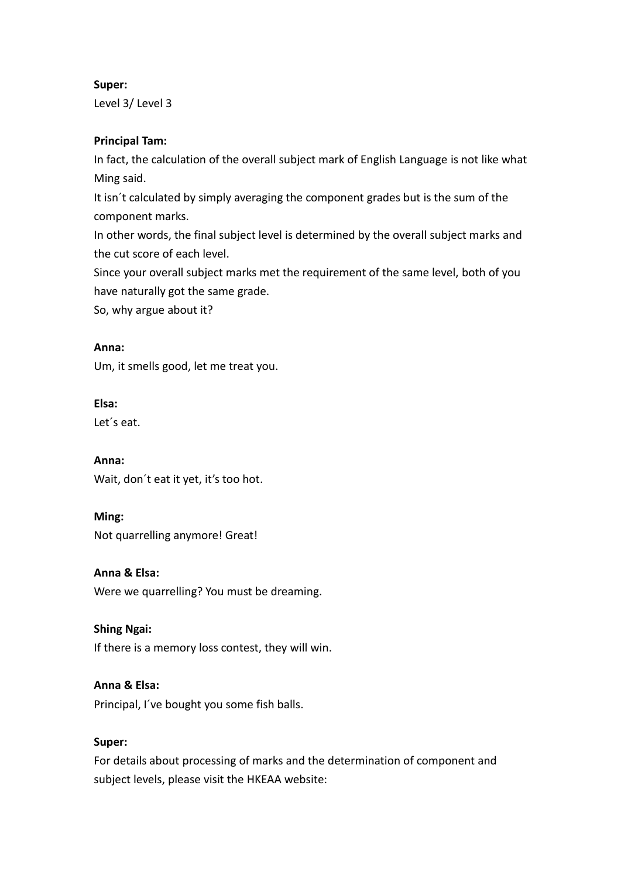# **Super:**

Level 3/ Level 3

# **Principal Tam:**

In fact, the calculation of the overall subject mark of English Language is not like what Ming said.

It isn´t calculated by simply averaging the component grades but is the sum of the component marks.

In other words, the final subject level is determined by the overall subject marks and the cut score of each level.

Since your overall subject marks met the requirement of the same level, both of you have naturally got the same grade.

So, why argue about it?

# **Anna:**

Um, it smells good, let me treat you.

# **Elsa:**

Let´s eat.

**Anna:** Wait, don´t eat it yet, it's too hot.

**Ming:** Not quarrelling anymore! Great!

**Anna & Elsa:** Were we quarrelling? You must be dreaming.

# **Shing Ngai:**

If there is a memory loss contest, they will win.

**Anna & Elsa:**

Principal, I´ve bought you some fish balls.

# **Super:**

For details about processing of marks and the determination of component and subject levels, please visit the HKEAA website: